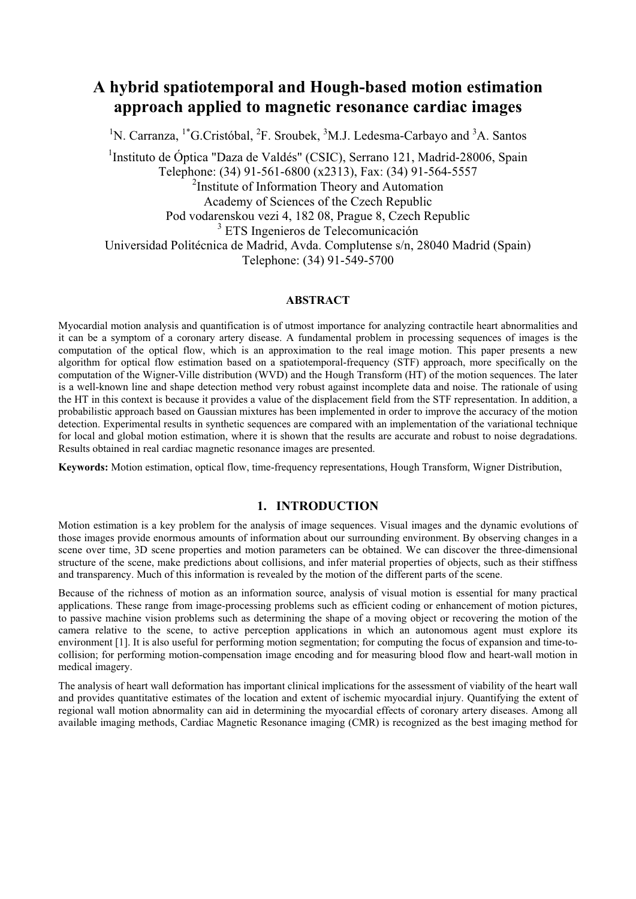# **A hybrid spatiotemporal and Hough-based motion estimation approach applied to magnetic resonance cardiac images**

<sup>1</sup>N. Carranza, <sup>1\*</sup>G.Cristóbal, <sup>2</sup>F. Sroubek, <sup>3</sup>M.J. Ledesma-Carbayo and <sup>3</sup>A. Santos

<sup>1</sup>Instituto de Óptica "Daza de Valdés" (CSIC), Serrano 121, Madrid-28006, Spain Telephone: (34) 91-561-6800 (x2313), Fax: (34) 91-564-5557 2 Institute of Information Theory and Automation Academy of Sciences of the Czech Republic Pod vodarenskou vezi 4, 182 08, Prague 8, Czech Republic 3 ETS Ingenieros de Telecomunicación Universidad Politécnica de Madrid, Avda. Complutense s/n, 28040 Madrid (Spain) Telephone: (34) 91-549-5700

# **ABSTRACT**

Myocardial motion analysis and quantification is of utmost importance for analyzing contractile heart abnormalities and it can be a symptom of a coronary artery disease. A fundamental problem in processing sequences of images is the computation of the optical flow, which is an approximation to the real image motion. This paper presents a new algorithm for optical flow estimation based on a spatiotemporal-frequency (STF) approach, more specifically on the computation of the Wigner-Ville distribution (WVD) and the Hough Transform (HT) of the motion sequences. The later is a well-known line and shape detection method very robust against incomplete data and noise. The rationale of using the HT in this context is because it provides a value of the displacement field from the STF representation. In addition, a probabilistic approach based on Gaussian mixtures has been implemented in order to improve the accuracy of the motion detection. Experimental results in synthetic sequences are compared with an implementation of the variational technique for local and global motion estimation, where it is shown that the results are accurate and robust to noise degradations. Results obtained in real cardiac magnetic resonance images are presented.

**Keywords:** Motion estimation, optical flow, time-frequency representations, Hough Transform, Wigner Distribution,

# **1. INTRODUCTION**

Motion estimation is a key problem for the analysis of image sequences. Visual images and the dynamic evolutions of those images provide enormous amounts of information about our surrounding environment. By observing changes in a scene over time, 3D scene properties and motion parameters can be obtained. We can discover the three-dimensional structure of the scene, make predictions about collisions, and infer material properties of objects, such as their stiffness and transparency. Much of this information is revealed by the motion of the different parts of the scene.

Because of the richness of motion as an information source, analysis of visual motion is essential for many practical applications. These range from image-processing problems such as efficient coding or enhancement of motion pictures, to passive machine vision problems such as determining the shape of a moving object or recovering the motion of the camera relative to the scene, to active perception applications in which an autonomous agent must explore its environment [1]. It is also useful for performing motion segmentation; for computing the focus of expansion and time-tocollision; for performing motion-compensation image encoding and for measuring blood flow and heart-wall motion in medical imagery.

The analysis of heart wall deformation has important clinical implications for the assessment of viability of the heart wall and provides quantitative estimates of the location and extent of ischemic myocardial injury. Quantifying the extent of regional wall motion abnormality can aid in determining the myocardial effects of coronary artery diseases. Among all available imaging methods, Cardiac Magnetic Resonance imaging (CMR) is recognized as the best imaging method for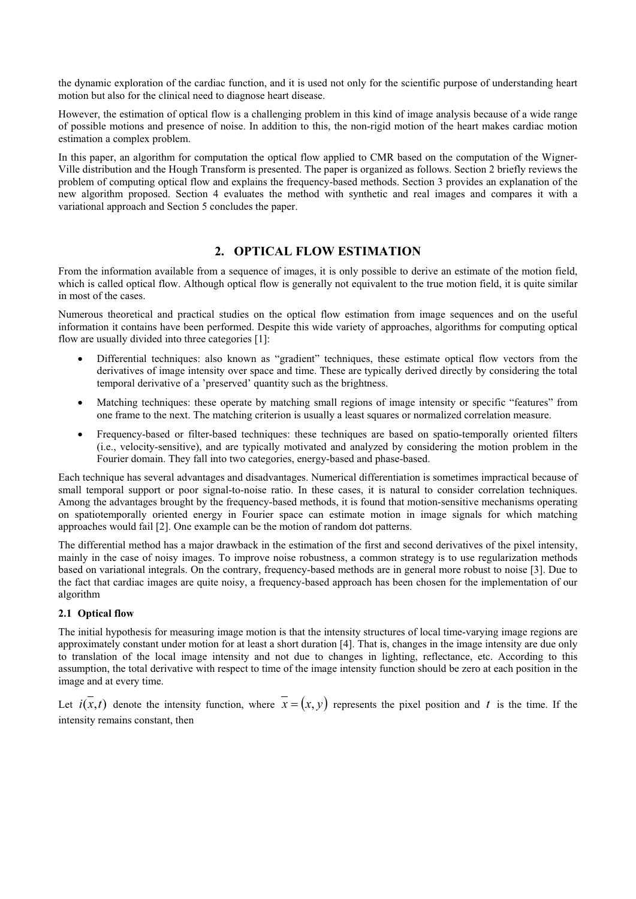the dynamic exploration of the cardiac function, and it is used not only for the scientific purpose of understanding heart motion but also for the clinical need to diagnose heart disease.

However, the estimation of optical flow is a challenging problem in this kind of image analysis because of a wide range of possible motions and presence of noise. In addition to this, the non-rigid motion of the heart makes cardiac motion estimation a complex problem.

In this paper, an algorithm for computation the optical flow applied to CMR based on the computation of the Wigner-Ville distribution and the Hough Transform is presented. The paper is organized as follows. Section 2 briefly reviews the problem of computing optical flow and explains the frequency-based methods. Section 3 provides an explanation of the new algorithm proposed. Section 4 evaluates the method with synthetic and real images and compares it with a variational approach and Section 5 concludes the paper.

# **2. OPTICAL FLOW ESTIMATION**

From the information available from a sequence of images, it is only possible to derive an estimate of the motion field, which is called optical flow. Although optical flow is generally not equivalent to the true motion field, it is quite similar in most of the cases.

Numerous theoretical and practical studies on the optical flow estimation from image sequences and on the useful information it contains have been performed. Despite this wide variety of approaches, algorithms for computing optical flow are usually divided into three categories [1]:

- Differential techniques: also known as "gradient" techniques, these estimate optical flow vectors from the derivatives of image intensity over space and time. These are typically derived directly by considering the total temporal derivative of a 'preserved' quantity such as the brightness.
- Matching techniques: these operate by matching small regions of image intensity or specific "features" from one frame to the next. The matching criterion is usually a least squares or normalized correlation measure.
- x Frequency-based or filter-based techniques: these techniques are based on spatio-temporally oriented filters (i.e., velocity-sensitive), and are typically motivated and analyzed by considering the motion problem in the Fourier domain. They fall into two categories, energy-based and phase-based.

Each technique has several advantages and disadvantages. Numerical differentiation is sometimes impractical because of small temporal support or poor signal-to-noise ratio. In these cases, it is natural to consider correlation techniques. Among the advantages brought by the frequency-based methods, it is found that motion-sensitive mechanisms operating on spatiotemporally oriented energy in Fourier space can estimate motion in image signals for which matching approaches would fail [2]. One example can be the motion of random dot patterns.

The differential method has a major drawback in the estimation of the first and second derivatives of the pixel intensity, mainly in the case of noisy images. To improve noise robustness, a common strategy is to use regularization methods based on variational integrals. On the contrary, frequency-based methods are in general more robust to noise [3]. Due to the fact that cardiac images are quite noisy, a frequency-based approach has been chosen for the implementation of our algorithm

#### **2.1 Optical flow**

The initial hypothesis for measuring image motion is that the intensity structures of local time-varying image regions are approximately constant under motion for at least a short duration [4]. That is, changes in the image intensity are due only to translation of the local image intensity and not due to changes in lighting, reflectance, etc. According to this assumption, the total derivative with respect to time of the image intensity function should be zero at each position in the image and at every time.

Let  $i(\overline{x}, t)$  denote the intensity function, where  $\overline{x} = (x, y)$  represents the pixel position and *t* is the time. If the intensity remains constant, then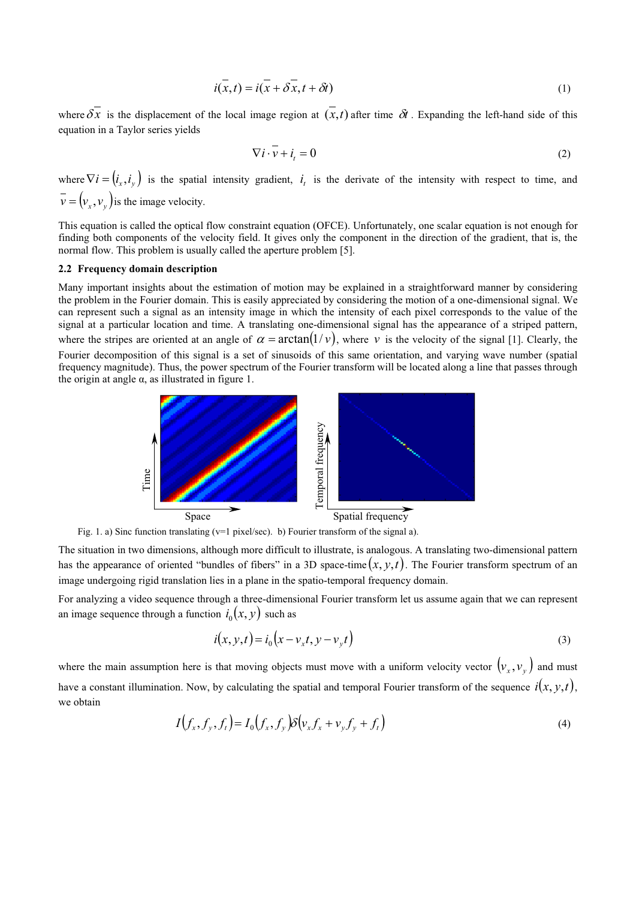$$
i(\overline{x},t) = i(\overline{x} + \delta \overline{x}, t + \delta t)
$$
 (1)

where  $\overline{\delta x}$  is the displacement of the local image region at  $(\overline{x}, t)$  after time  $\delta t$ . Expanding the left-hand side of this equation in a Taylor series yields

$$
\nabla i \cdot \overline{v} + i_t = 0 \tag{2}
$$

where  $\nabla i = (i_x, i_y)$  is the spatial intensity gradient,  $i_t$  is the derivate of the intensity with respect to time, and  $\overline{v} = (v_x, v_y)$  is the image velocity.

This equation is called the optical flow constraint equation (OFCE). Unfortunately, one scalar equation is not enough for finding both components of the velocity field. It gives only the component in the direction of the gradient, that is, the normal flow. This problem is usually called the aperture problem [5].

#### **2.2 Frequency domain description**

Many important insights about the estimation of motion may be explained in a straightforward manner by considering the problem in the Fourier domain. This is easily appreciated by considering the motion of a one-dimensional signal. We can represent such a signal as an intensity image in which the intensity of each pixel corresponds to the value of the signal at a particular location and time. A translating one-dimensional signal has the appearance of a striped pattern, where the stripes are oriented at an angle of  $\alpha = \arctan(1/v)$ , where *v* is the velocity of the signal [1]. Clearly, the Fourier decomposition of this signal is a set of sinusoids of this same orientation, and varying wave number (spatial frequency magnitude). Thus, the power spectrum of the Fourier transform will be located along a line that passes through the origin at angle  $\alpha$ , as illustrated in figure 1.



Fig. 1. a) Sinc function translating (v=1 pixel/sec). b) Fourier transform of the signal a).

The situation in two dimensions, although more difficult to illustrate, is analogous. A translating two-dimensional pattern has the appearance of oriented "bundles of fibers" in a 3D space-time  $(x, y, t)$ . The Fourier transform spectrum of an image undergoing rigid translation lies in a plane in the spatio-temporal frequency domain.

For analyzing a video sequence through a three-dimensional Fourier transform let us assume again that we can represent an image sequence through a function  $i_0(x, y)$  such as

$$
i(x, y, t) = i_0 (x - v_x t, y - v_y t)
$$
\n(3)

where the main assumption here is that moving objects must move with a uniform velocity vector  $(v_x, v_y)$  and must have a constant illumination. Now, by calculating the spatial and temporal Fourier transform of the sequence  $i(x, y, t)$ . we obtain

$$
I(f_x, f_y, f_t) = I_0(f_x, f_y) \delta(v_x f_x + v_y f_y + f_t)
$$
\n(4)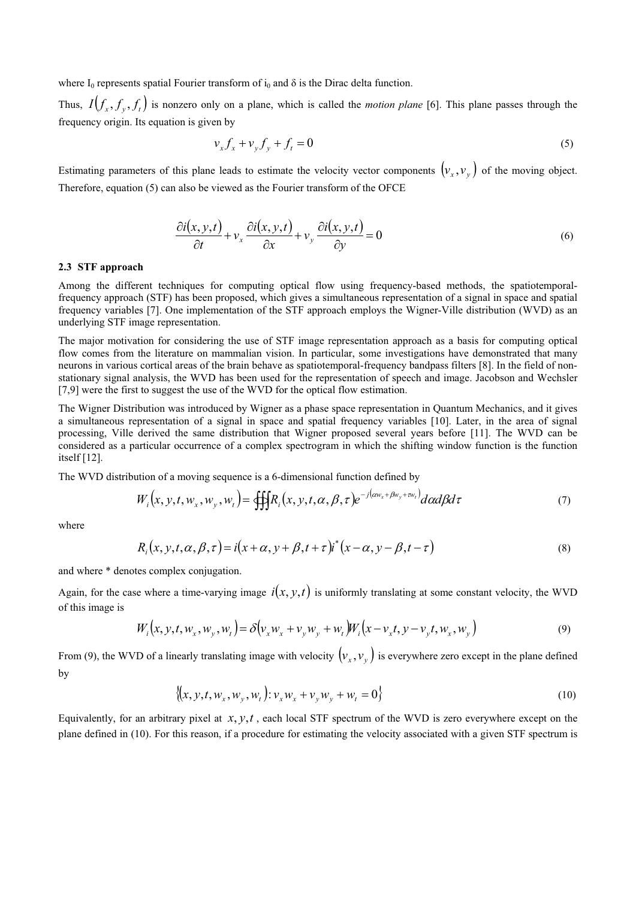where  $I_0$  represents spatial Fourier transform of  $i_0$  and  $\delta$  is the Dirac delta function.

Thus,  $I(f_x, f_y, f_t)$  is nonzero only on a plane, which is called the *motion plane* [6]. This plane passes through the frequency origin. Its equation is given by

$$
v_x f_x + v_y f_y + f_t = 0 \tag{5}
$$

Estimating parameters of this plane leads to estimate the velocity vector components  $(v_x, v_y)$  of the moving object. Therefore, equation (5) can also be viewed as the Fourier transform of the OFCE

$$
\frac{\partial i(x, y, t)}{\partial t} + v_x \frac{\partial i(x, y, t)}{\partial x} + v_y \frac{\partial i(x, y, t)}{\partial y} = 0
$$
\n(6)

# **2.3 STF approach**

Among the different techniques for computing optical flow using frequency-based methods, the spatiotemporalfrequency approach (STF) has been proposed, which gives a simultaneous representation of a signal in space and spatial frequency variables [7]. One implementation of the STF approach employs the Wigner-Ville distribution (WVD) as an underlying STF image representation.

The major motivation for considering the use of STF image representation approach as a basis for computing optical flow comes from the literature on mammalian vision. In particular, some investigations have demonstrated that many neurons in various cortical areas of the brain behave as spatiotemporal-frequency bandpass filters [8]. In the field of nonstationary signal analysis, the WVD has been used for the representation of speech and image. Jacobson and Wechsler [7,9] were the first to suggest the use of the WVD for the optical flow estimation.

The Wigner Distribution was introduced by Wigner as a phase space representation in Quantum Mechanics, and it gives a simultaneous representation of a signal in space and spatial frequency variables [10]. Later, in the area of signal processing, Ville derived the same distribution that Wigner proposed several years before [11]. The WVD can be considered as a particular occurrence of a complex spectrogram in which the shifting window function is the function itself [12].

The WVD distribution of a moving sequence is a 6-dimensional function defined by

$$
W_i(x, y, t, w_x, w_y, w_t) = \iiint R_i(x, y, t, \alpha, \beta, \tau) e^{-j(\alpha w_x + \beta w_y + \tau w_t)} d\alpha d\beta d\tau
$$
\n<sup>(7)</sup>

where

$$
R_i(x, y, t, \alpha, \beta, \tau) = i(x + \alpha, y + \beta, t + \tau)i^*(x - \alpha, y - \beta, t - \tau)
$$
\n(8)

and where \* denotes complex conjugation.

Again, for the case where a time-varying image  $i(x, y, t)$  is uniformly translating at some constant velocity, the WVD of this image is

$$
W_i(x, y, t, w_x, w_y, w_t) = \delta(v_x w_x + v_y w_y + w_t) W_i(x - v_x t, y - v_y t, w_x, w_y)
$$
(9)

From (9), the WVD of a linearly translating image with velocity  $(v_x, v_y)$  is everywhere zero except in the plane defined by

$$
\{(x, y, t, w_x, w_y, w_t): v_x w_x + v_y w_y + w_t = 0\}
$$
\n(10)

Equivalently, for an arbitrary pixel at  $x, y, t$ , each local STF spectrum of the WVD is zero everywhere except on the plane defined in (10). For this reason, if a procedure for estimating the velocity associated with a given STF spectrum is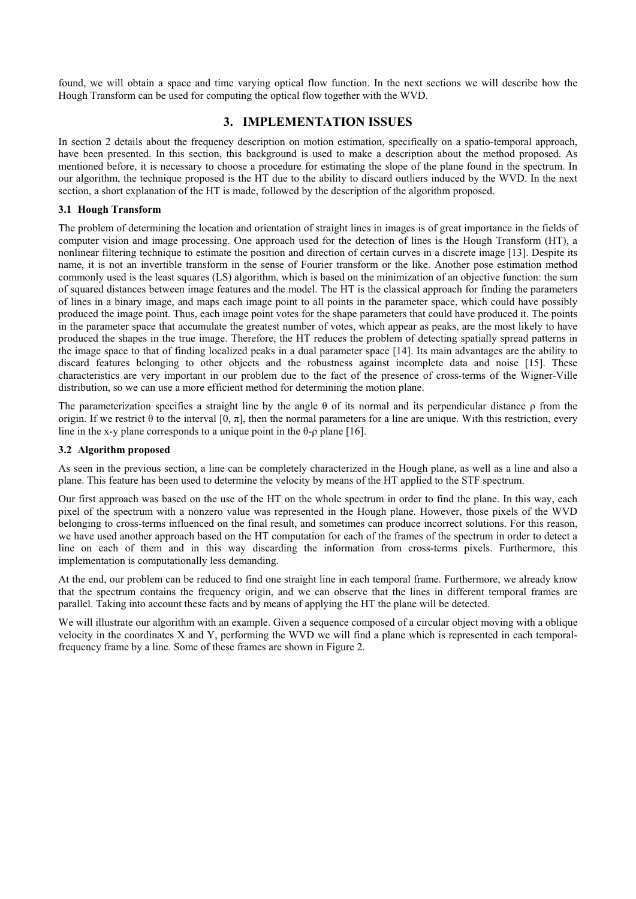found, we will obtain a space and time varying optical flow function. In the next sections we will describe how the Hough Transform can be used for computing the optical flow together with the WVD.

# **3. IMPLEMENTATION ISSUES**

In section 2 details about the frequency description on motion estimation, specifically on a spatio-temporal approach, have been presented. In this section, this background is used to make a description about the method proposed. As mentioned before, it is necessary to choose a procedure for estimating the slope of the plane found in the spectrum. In our algorithm, the technique proposed is the HT due to the ability to discard outliers induced by the WVD. In the next section, a short explanation of the HT is made, followed by the description of the algorithm proposed.

#### **3.1 Hough Transform**

The problem of determining the location and orientation of straight lines in images is of great importance in the fields of computer vision and image processing. One approach used for the detection of lines is the Hough Transform (HT), a nonlinear filtering technique to estimate the position and direction of certain curves in a discrete image [13]. Despite its name, it is not an invertible transform in the sense of Fourier transform or the like. Another pose estimation method commonly used is the least squares (LS) algorithm, which is based on the minimization of an objective function: the sum of squared distances between image features and the model. The HT is the classical approach for finding the parameters of lines in a binary image, and maps each image point to all points in the parameter space, which could have possibly produced the image point. Thus, each image point votes for the shape parameters that could have produced it. The points in the parameter space that accumulate the greatest number of votes, which appear as peaks, are the most likely to have produced the shapes in the true image. Therefore, the HT reduces the problem of detecting spatially spread patterns in the image space to that of finding localized peaks in a dual parameter space [14]. Its main advantages are the ability to discard features belonging to other objects and the robustness against incomplete data and noise [15]. These characteristics are very important in our problem due to the fact of the presence of cross-terms of the Wigner-Ville distribution, so we can use a more efficient method for determining the motion plane.

The parameterization specifies a straight line by the angle  $\theta$  of its normal and its perpendicular distance  $\rho$  from the origin. If we restrict  $\theta$  to the interval  $[0, \pi]$ , then the normal parameters for a line are unique. With this restriction, every line in the x-y plane corresponds to a unique point in the  $\theta$ - $\rho$  plane [16].

#### **3.2 Algorithm proposed**

As seen in the previous section, a line can be completely characterized in the Hough plane, as well as a line and also a plane. This feature has been used to determine the velocity by means of the HT applied to the STF spectrum.

Our first approach was based on the use of the HT on the whole spectrum in order to find the plane. In this way, each pixel of the spectrum with a nonzero value was represented in the Hough plane. However, those pixels of the WVD belonging to cross-terms influenced on the final result, and sometimes can produce incorrect solutions. For this reason, we have used another approach based on the HT computation for each of the frames of the spectrum in order to detect a line on each of them and in this way discarding the information from cross-terms pixels. Furthermore, this implementation is computationally less demanding.

At the end, our problem can be reduced to find one straight line in each temporal frame. Furthermore, we already know that the spectrum contains the frequency origin, and we can observe that the lines in different temporal frames are parallel. Taking into account these facts and by means of applying the HT the plane will be detected.

We will illustrate our algorithm with an example. Given a sequence composed of a circular object moving with a oblique velocity in the coordinates X and Y, performing the WVD we will find a plane which is represented in each temporalfrequency frame by a line. Some of these frames are shown in Figure 2.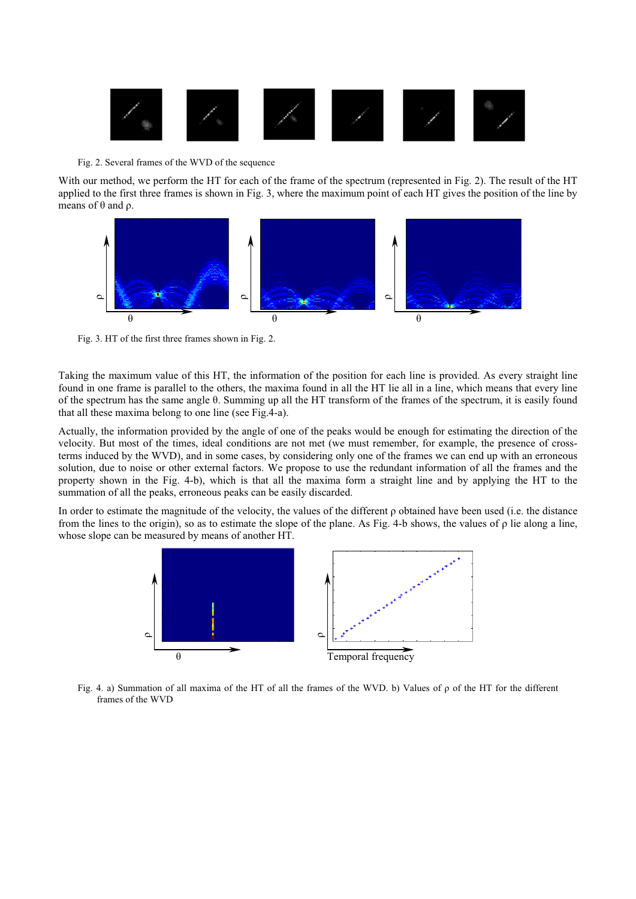

Fig. 2. Several frames of the WVD of the sequence

With our method, we perform the HT for each of the frame of the spectrum (represented in Fig. 2). The result of the HT applied to the first three frames is shown in Fig. 3, where the maximum point of each HT gives the position of the line by means of  $\theta$  and  $\rho$ .



Fig. 3. HT of the first three frames shown in Fig. 2.

Taking the maximum value of this HT, the information of the position for each line is provided. As every straight line found in one frame is parallel to the others, the maxima found in all the HT lie all in a line, which means that every line of the spectrum has the same angle  $\theta$ . Summing up all the HT transform of the frames of the spectrum, it is easily found that all these maxima belong to one line (see Fig.4-a).

Actually, the information provided by the angle of one of the peaks would be enough for estimating the direction of the velocity. But most of the times, ideal conditions are not met (we must remember, for example, the presence of crossterms induced by the WVD), and in some cases, by considering only one of the frames we can end up with an erroneous solution, due to noise or other external factors. We propose to use the redundant information of all the frames and the property shown in the Fig. 4-b), which is that all the maxima form a straight line and by applying the HT to the summation of all the peaks, erroneous peaks can be easily discarded.

In order to estimate the magnitude of the velocity, the values of the different  $\rho$  obtained have been used (i.e. the distance from the lines to the origin), so as to estimate the slope of the plane. As Fig. 4-b shows, the values of  $\rho$  lie along a line, whose slope can be measured by means of another HT.



Fig. 4. a) Summation of all maxima of the HT of all the frames of the WVD. b) Values of  $\rho$  of the HT for the different frames of the WVD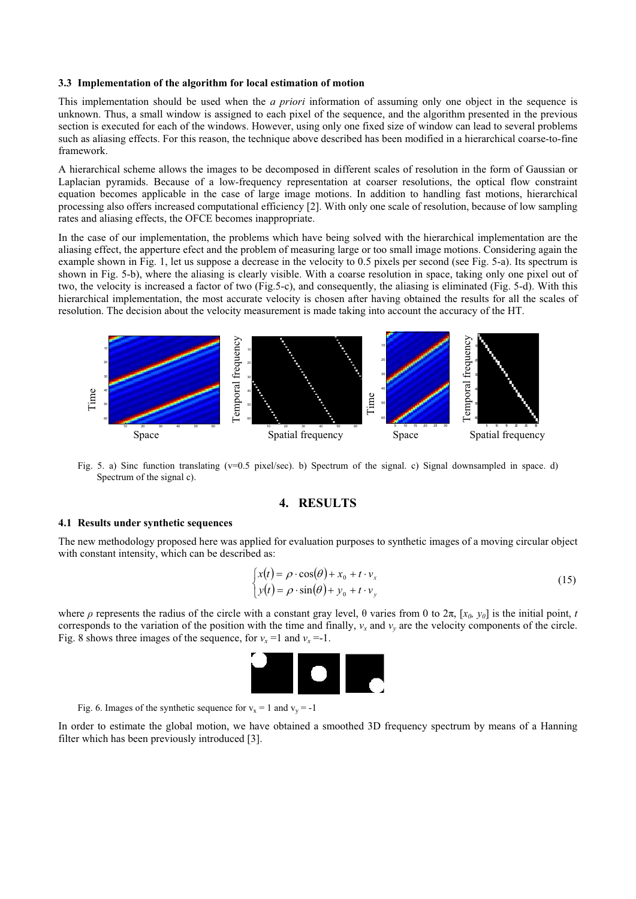#### **3.3 Implementation of the algorithm for local estimation of motion**

This implementation should be used when the *a priori* information of assuming only one object in the sequence is unknown. Thus, a small window is assigned to each pixel of the sequence, and the algorithm presented in the previous section is executed for each of the windows. However, using only one fixed size of window can lead to several problems such as aliasing effects. For this reason, the technique above described has been modified in a hierarchical coarse-to-fine framework.

A hierarchical scheme allows the images to be decomposed in different scales of resolution in the form of Gaussian or Laplacian pyramids. Because of a low-frequency representation at coarser resolutions, the optical flow constraint equation becomes applicable in the case of large image motions. In addition to handling fast motions, hierarchical processing also offers increased computational efficiency [2]. With only one scale of resolution, because of low sampling rates and aliasing effects, the OFCE becomes inappropriate.

In the case of our implementation, the problems which have being solved with the hierarchical implementation are the aliasing effect, the apperture efect and the problem of measuring large or too small image motions. Considering again the example shown in Fig. 1, let us suppose a decrease in the velocity to 0.5 pixels per second (see Fig. 5-a). Its spectrum is shown in Fig. 5-b), where the aliasing is clearly visible. With a coarse resolution in space, taking only one pixel out of two, the velocity is increased a factor of two (Fig.5-c), and consequently, the aliasing is eliminated (Fig. 5-d). With this hierarchical implementation, the most accurate velocity is chosen after having obtained the results for all the scales of resolution. The decision about the velocity measurement is made taking into account the accuracy of the HT.



Fig. 5. a) Sinc function translating (v=0.5 pixel/sec). b) Spectrum of the signal. c) Signal downsampled in space. d) Spectrum of the signal c).

## **4. RESULTS**

#### **4.1 Results under synthetic sequences**

The new methodology proposed here was applied for evaluation purposes to synthetic images of a moving circular object with constant intensity, which can be described as:

$$
\begin{cases}\n x(t) = \rho \cdot \cos(\theta) + x_0 + t \cdot \nu_x \\
y(t) = \rho \cdot \sin(\theta) + y_0 + t \cdot \nu_y\n\end{cases}
$$
\n(15)

where  $\rho$  represents the radius of the circle with a constant gray level,  $\theta$  varies from 0 to  $2\pi$ ,  $[x_0, y_0]$  is the initial point, t corresponds to the variation of the position with the time and finally,  $v_x$  and  $v_y$  are the velocity components of the circle. Fig. 8 shows three images of the sequence, for  $v_x = 1$  and  $v_x = -1$ .



Fig. 6. Images of the synthetic sequence for  $v_x = 1$  and  $v_y = -1$ 

In order to estimate the global motion, we have obtained a smoothed 3D frequency spectrum by means of a Hanning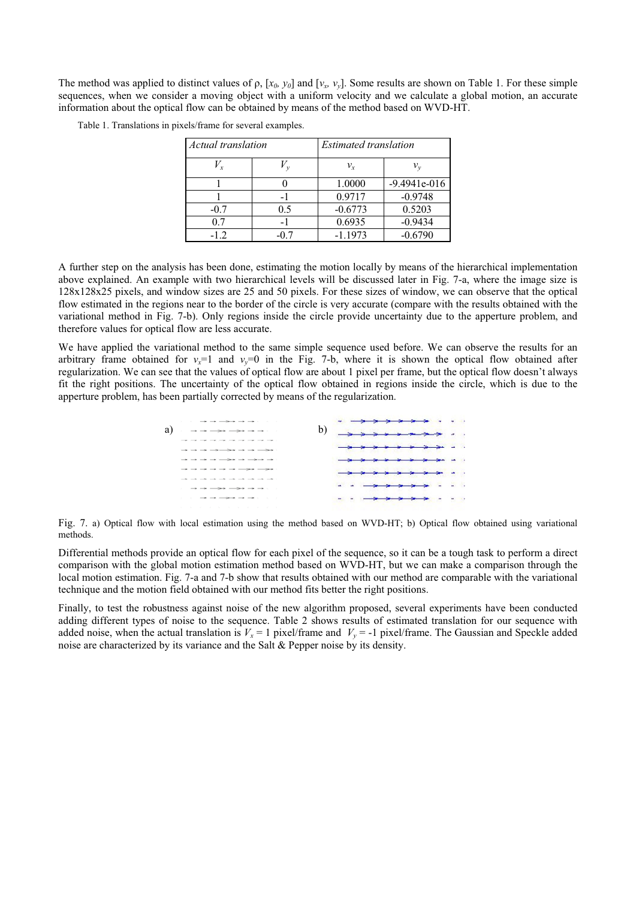The method was applied to distinct values of  $\rho$ ,  $[x_0, y_0]$  and  $[y_x, y_y]$ . Some results are shown on Table 1. For these simple sequences, when we consider a moving object with a uniform velocity and we calculate a global motion, an accurate information about the optical flow can be obtained by means of the method based on WVD-HT.

Table 1. Translations in pixels/frame for several examples.

| Actual translation |        | Estimated translation |                |  |
|--------------------|--------|-----------------------|----------------|--|
| $V_{\rm r}$        |        | $v_{r}$               |                |  |
|                    |        | 1.0000                | $-9.4941e-016$ |  |
|                    |        | 0.9717                | $-0.9748$      |  |
| $-0.7$             | 0.5    | $-0.6773$             | 0.5203         |  |
| 0.7                |        | 0.6935                | $-0.9434$      |  |
| $-1.2$             | $-0.7$ | $-1.1973$             | $-0.6790$      |  |

A further step on the analysis has been done, estimating the motion locally by means of the hierarchical implementation above explained. An example with two hierarchical levels will be discussed later in Fig. 7-a, where the image size is 128x128x25 pixels, and window sizes are 25 and 50 pixels. For these sizes of window, we can observe that the optical flow estimated in the regions near to the border of the circle is very accurate (compare with the results obtained with the variational method in Fig. 7-b). Only regions inside the circle provide uncertainty due to the apperture problem, and therefore values for optical flow are less accurate.

We have applied the variational method to the same simple sequence used before. We can observe the results for an arbitrary frame obtained for  $v<sub>x</sub>=1$  and  $v<sub>y</sub>=0$  in the Fig. 7-b, where it is shown the optical flow obtained after regularization. We can see that the values of optical flow are about 1 pixel per frame, but the optical flow doesn't always fit the right positions. The uncertainty of the optical flow obtained in regions inside the circle, which is due to the apperture problem, has been partially corrected by means of the regularization.

|                                                   | ,,,,,,,,,<br>,,,,,,,,,        |
|---------------------------------------------------|-------------------------------|
| ------------------                                |                               |
| the true that the procedure that the company's    | التالي المواقع المواقع الواقع |
| the top and the controllers and compared that the |                               |
| -----------------                                 | المعالم المواسط               |
| ------------------                                |                               |
|                                                   |                               |
|                                                   | . <del>.</del>                |
| .                                                 |                               |

Fig. 7. a) Optical flow with local estimation using the method based on WVD-HT; b) Optical flow obtained using variational methods.

Differential methods provide an optical flow for each pixel of the sequence, so it can be a tough task to perform a direct comparison with the global motion estimation method based on WVD-HT, but we can make a comparison through the local motion estimation. Fig. 7-a and 7-b show that results obtained with our method are comparable with the variational technique and the motion field obtained with our method fits better the right positions.

Finally, to test the robustness against noise of the new algorithm proposed, several experiments have been conducted adding different types of noise to the sequence. Table 2 shows results of estimated translation for our sequence with added noise, when the actual translation is  $V_x = 1$  pixel/frame and  $V_y = -1$  pixel/frame. The Gaussian and Speckle added noise are characterized by its variance and the Salt & Pepper noise by its density.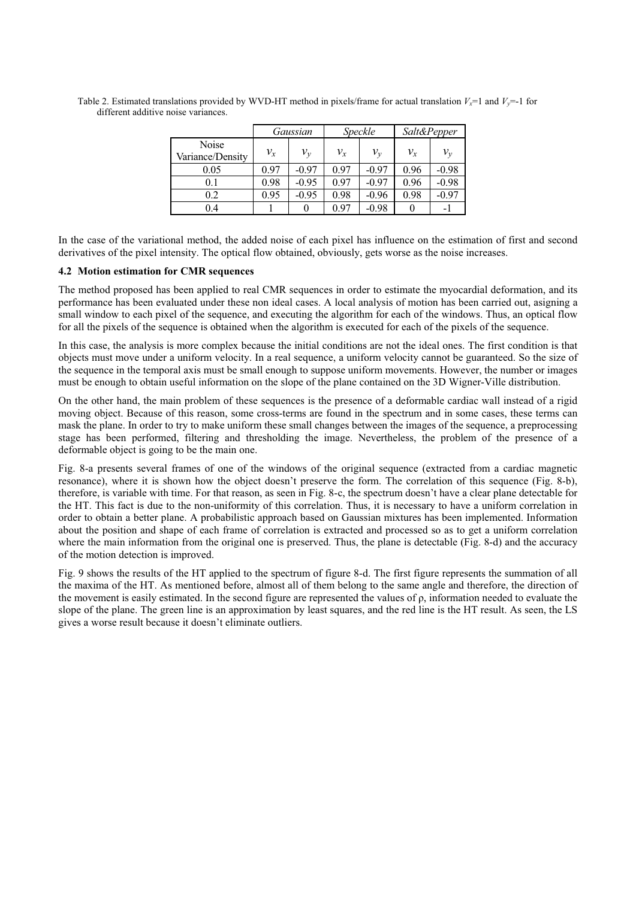|                           | Gaussian |                             | <i>Speckle</i> |                             | Salt&Pepper |                          |
|---------------------------|----------|-----------------------------|----------------|-----------------------------|-------------|--------------------------|
| Noise<br>Variance/Density | $v_x$    | $\mathcal{V}_{\mathcal{V}}$ | $v_x$          | $\mathcal{V}_{\mathcal{V}}$ | $v_x$       | $v_{\rm v}$              |
| 0.05                      | 0.97     | $-0.97$                     | 0.97           | $-0.97$                     | 0.96        | $-0.98$                  |
| 0.1                       | 0.98     | $-0.95$                     | 0.97           | $-0.97$                     | 0.96        | $-0.98$                  |
| 0.2                       | 0.95     | $-0.95$                     | 0.98           | $-0.96$                     | 0.98        | $-0.97$                  |
| 0.4                       |          | 0                           | 0.97           | $-0.98$                     |             | $\overline{\phantom{0}}$ |

Table 2. Estimated translations provided by WVD-HT method in pixels/frame for actual translation  $V_x=1$  and  $V_y=1$  for different additive noise variances.

In the case of the variational method, the added noise of each pixel has influence on the estimation of first and second derivatives of the pixel intensity. The optical flow obtained, obviously, gets worse as the noise increases.

#### **4.2 Motion estimation for CMR sequences**

The method proposed has been applied to real CMR sequences in order to estimate the myocardial deformation, and its performance has been evaluated under these non ideal cases. A local analysis of motion has been carried out, asigning a small window to each pixel of the sequence, and executing the algorithm for each of the windows. Thus, an optical flow for all the pixels of the sequence is obtained when the algorithm is executed for each of the pixels of the sequence.

In this case, the analysis is more complex because the initial conditions are not the ideal ones. The first condition is that objects must move under a uniform velocity. In a real sequence, a uniform velocity cannot be guaranteed. So the size of the sequence in the temporal axis must be small enough to suppose uniform movements. However, the number or images must be enough to obtain useful information on the slope of the plane contained on the 3D Wigner-Ville distribution.

On the other hand, the main problem of these sequences is the presence of a deformable cardiac wall instead of a rigid moving object. Because of this reason, some cross-terms are found in the spectrum and in some cases, these terms can mask the plane. In order to try to make uniform these small changes between the images of the sequence, a preprocessing stage has been performed, filtering and thresholding the image. Nevertheless, the problem of the presence of a deformable object is going to be the main one.

Fig. 8-a presents several frames of one of the windows of the original sequence (extracted from a cardiac magnetic resonance), where it is shown how the object doesn't preserve the form. The correlation of this sequence (Fig. 8-b), therefore, is variable with time. For that reason, as seen in Fig. 8-c, the spectrum doesn't have a clear plane detectable for the HT. This fact is due to the non-uniformity of this correlation. Thus, it is necessary to have a uniform correlation in order to obtain a better plane. A probabilistic approach based on Gaussian mixtures has been implemented. Information about the position and shape of each frame of correlation is extracted and processed so as to get a uniform correlation where the main information from the original one is preserved. Thus, the plane is detectable (Fig. 8-d) and the accuracy of the motion detection is improved.

Fig. 9 shows the results of the HT applied to the spectrum of figure 8-d. The first figure represents the summation of all the maxima of the HT. As mentioned before, almost all of them belong to the same angle and therefore, the direction of the movement is easily estimated. In the second figure are represented the values of  $\rho$ , information needed to evaluate the slope of the plane. The green line is an approximation by least squares, and the red line is the HT result. As seen, the LS gives a worse result because it doesn't eliminate outliers.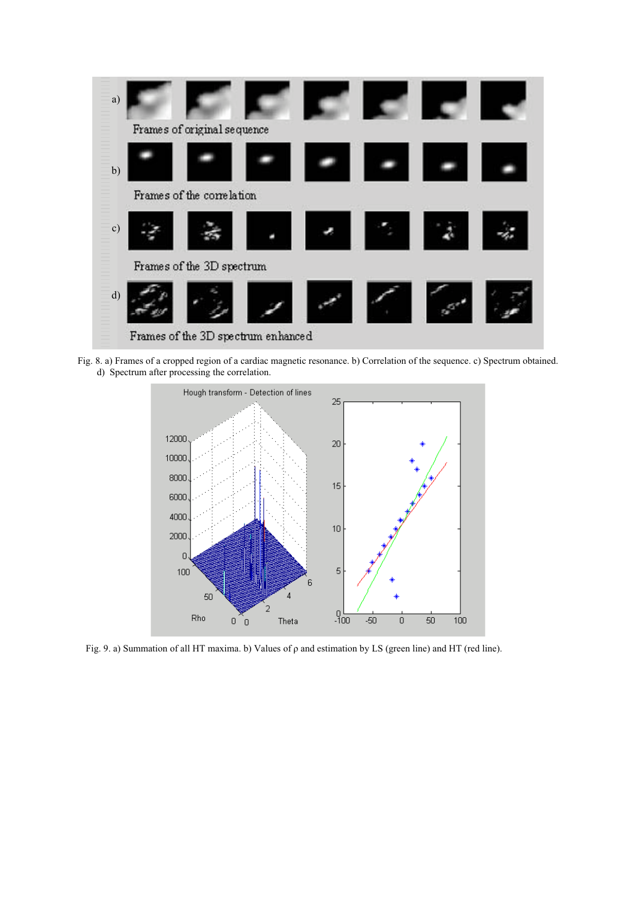

Fig. 8. a) Frames of a cropped region of a cardiac magnetic resonance. b) Correlation of the sequence. c) Spectrum obtained. d) Spectrum after processing the correlation.



Fig. 9. a) Summation of all HT maxima. b) Values of  $\rho$  and estimation by LS (green line) and HT (red line).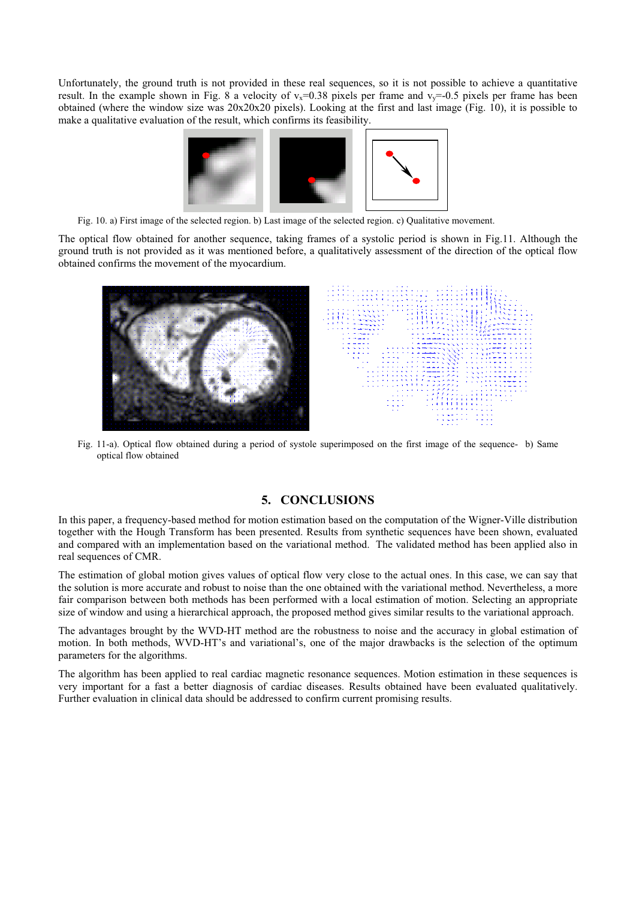Unfortunately, the ground truth is not provided in these real sequences, so it is not possible to achieve a quantitative result. In the example shown in Fig. 8 a velocity of  $v_x=0.38$  pixels per frame and  $v_y=-0.5$  pixels per frame has been obtained (where the window size was 20x20x20 pixels). Looking at the first and last image (Fig. 10), it is possible to make a qualitative evaluation of the result, which confirms its feasibility.



Fig. 10. a) First image of the selected region. b) Last image of the selected region. c) Qualitative movement.

The optical flow obtained for another sequence, taking frames of a systolic period is shown in Fig.11. Although the ground truth is not provided as it was mentioned before, a qualitatively assessment of the direction of the optical flow obtained confirms the movement of the myocardium.



Fig. 11-a). Optical flow obtained during a period of systole superimposed on the first image of the sequence- b) Same optical flow obtained

## **5. CONCLUSIONS**

In this paper, a frequency-based method for motion estimation based on the computation of the Wigner-Ville distribution together with the Hough Transform has been presented. Results from synthetic sequences have been shown, evaluated and compared with an implementation based on the variational method. The validated method has been applied also in real sequences of CMR.

The estimation of global motion gives values of optical flow very close to the actual ones. In this case, we can say that the solution is more accurate and robust to noise than the one obtained with the variational method. Nevertheless, a more fair comparison between both methods has been performed with a local estimation of motion. Selecting an appropriate size of window and using a hierarchical approach, the proposed method gives similar results to the variational approach.

The advantages brought by the WVD-HT method are the robustness to noise and the accuracy in global estimation of motion. In both methods, WVD-HT's and variational's, one of the major drawbacks is the selection of the optimum parameters for the algorithms.

The algorithm has been applied to real cardiac magnetic resonance sequences. Motion estimation in these sequences is very important for a fast a better diagnosis of cardiac diseases. Results obtained have been evaluated qualitatively. Further evaluation in clinical data should be addressed to confirm current promising results.